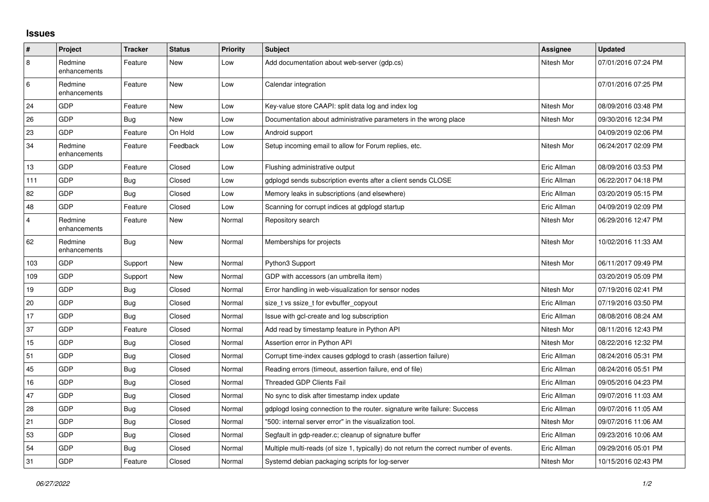## **Issues**

| #   | Project                 | <b>Tracker</b> | <b>Status</b> | <b>Priority</b> | <b>Subject</b>                                                                          | <b>Assignee</b> | <b>Updated</b>      |
|-----|-------------------------|----------------|---------------|-----------------|-----------------------------------------------------------------------------------------|-----------------|---------------------|
| 8   | Redmine<br>enhancements | Feature        | New           | Low             | Add documentation about web-server (gdp.cs)                                             | Nitesh Mor      | 07/01/2016 07:24 PM |
| 6   | Redmine<br>enhancements | Feature        | New           | Low             | Calendar integration                                                                    |                 | 07/01/2016 07:25 PM |
| 24  | GDP                     | Feature        | New           | Low             | Key-value store CAAPI: split data log and index log                                     | Nitesh Mor      | 08/09/2016 03:48 PM |
| 26  | GDP                     | <b>Bug</b>     | New           | Low             | Documentation about administrative parameters in the wrong place                        | Nitesh Mor      | 09/30/2016 12:34 PM |
| 23  | GDP                     | Feature        | On Hold       | Low             | Android support                                                                         |                 | 04/09/2019 02:06 PM |
| 34  | Redmine<br>enhancements | Feature        | Feedback      | Low             | Setup incoming email to allow for Forum replies, etc.                                   | Nitesh Mor      | 06/24/2017 02:09 PM |
| 13  | GDP                     | Feature        | Closed        | Low             | Flushing administrative output                                                          | Eric Allman     | 08/09/2016 03:53 PM |
| 111 | GDP                     | Bug            | Closed        | Low             | gdplogd sends subscription events after a client sends CLOSE                            | Eric Allman     | 06/22/2017 04:18 PM |
| 82  | GDP                     | Bug            | Closed        | Low             | Memory leaks in subscriptions (and elsewhere)                                           | Eric Allman     | 03/20/2019 05:15 PM |
| 48  | GDP                     | Feature        | Closed        | Low             | Scanning for corrupt indices at gdplogd startup                                         | Eric Allman     | 04/09/2019 02:09 PM |
| 4   | Redmine<br>enhancements | Feature        | New           | Normal          | Repository search                                                                       | Nitesh Mor      | 06/29/2016 12:47 PM |
| 62  | Redmine<br>enhancements | Bug            | New           | Normal          | Memberships for projects                                                                | Nitesh Mor      | 10/02/2016 11:33 AM |
| 103 | GDP                     | Support        | <b>New</b>    | Normal          | Python3 Support                                                                         | Nitesh Mor      | 06/11/2017 09:49 PM |
| 109 | <b>GDP</b>              | Support        | New           | Normal          | GDP with accessors (an umbrella item)                                                   |                 | 03/20/2019 05:09 PM |
| 19  | GDP                     | Bug            | Closed        | Normal          | Error handling in web-visualization for sensor nodes                                    | Nitesh Mor      | 07/19/2016 02:41 PM |
| 20  | GDP                     | Bug            | Closed        | Normal          | size_t vs ssize_t for evbuffer_copyout                                                  | Eric Allman     | 07/19/2016 03:50 PM |
| 17  | GDP                     | Bug            | Closed        | Normal          | Issue with gcl-create and log subscription                                              | Eric Allman     | 08/08/2016 08:24 AM |
| 37  | GDP                     | Feature        | Closed        | Normal          | Add read by timestamp feature in Python API                                             | Nitesh Mor      | 08/11/2016 12:43 PM |
| 15  | GDP                     | Bug            | Closed        | Normal          | Assertion error in Python API                                                           | Nitesh Mor      | 08/22/2016 12:32 PM |
| 51  | GDP                     | Bug            | Closed        | Normal          | Corrupt time-index causes gdplogd to crash (assertion failure)                          | Eric Allman     | 08/24/2016 05:31 PM |
| 45  | GDP                     | Bug            | Closed        | Normal          | Reading errors (timeout, assertion failure, end of file)                                | Eric Allman     | 08/24/2016 05:51 PM |
| 16  | GDP                     | <b>Bug</b>     | Closed        | Normal          | <b>Threaded GDP Clients Fail</b>                                                        | Eric Allman     | 09/05/2016 04:23 PM |
| 47  | GDP                     | Bug            | Closed        | Normal          | No sync to disk after timestamp index update                                            | Eric Allman     | 09/07/2016 11:03 AM |
| 28  | GDP                     | <b>Bug</b>     | Closed        | Normal          | gdplogd losing connection to the router, signature write failure: Success               | Eric Allman     | 09/07/2016 11:05 AM |
| 21  | GDP                     | Bug            | Closed        | Normal          | '500: internal server error" in the visualization tool.                                 | Nitesh Mor      | 09/07/2016 11:06 AM |
| 53  | GDP                     | Bug            | Closed        | Normal          | Segfault in gdp-reader.c; cleanup of signature buffer                                   | Eric Allman     | 09/23/2016 10:06 AM |
| 54  | GDP                     | Bug            | Closed        | Normal          | Multiple multi-reads (of size 1, typically) do not return the correct number of events. | Eric Allman     | 09/29/2016 05:01 PM |
| 31  | GDP                     | Feature        | Closed        | Normal          | Systemd debian packaging scripts for log-server                                         | Nitesh Mor      | 10/15/2016 02:43 PM |